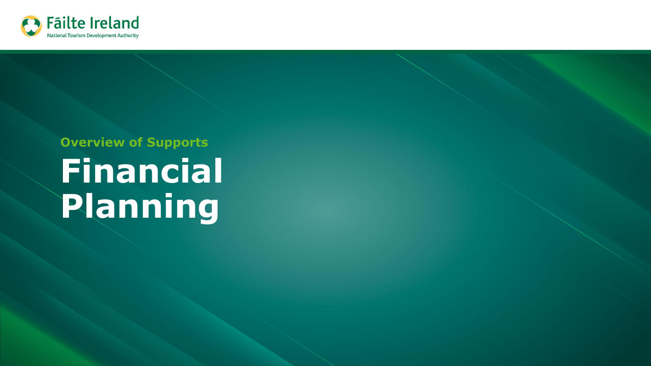

# **Financial Planning Overview of Supports**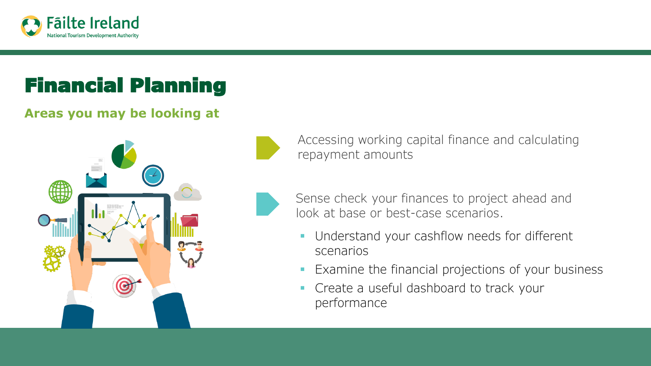

## Financial Planning

#### **Areas you may be looking at**



Accessing working capital finance and calculating repayment amounts

- Sense check your finances to project ahead and look at base or best-case scenarios.
	- **Understand your cashflow needs for different** scenarios
	- **Examine the financial projections of your business**
	- Create a useful dashboard to track your performance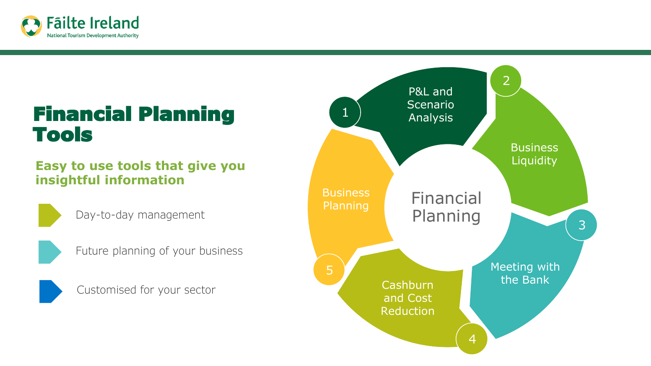

### Financial Planning Tools

#### **Easy to use tools that give you insightful information**



Day-to-day management



Future planning of your business



Customised for your sector

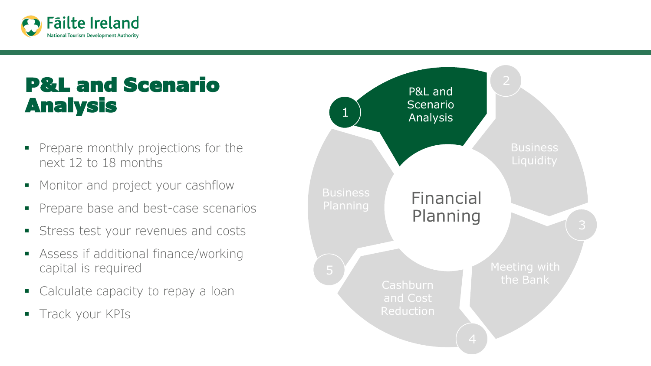

## P&L and Scenario **Analysis 2008 12 Analysis**

- Prepare monthly projections for the next 12 to 18 months
- Monitor and project your cashflow
- **•** Prepare base and best-case scenarios
- **EXECUTE:** Stress test your revenues and costs
- Assess if additional finance/working capital is required
- Calculate capacity to repay a loan
- **Track your KPIs**

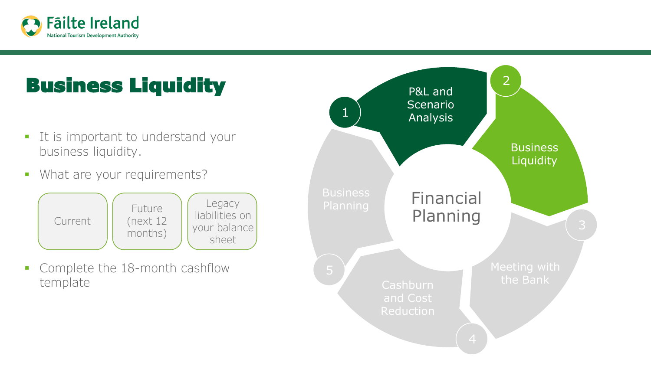

## Business Liquidity

- **·** It is important to understand your business liquidity.
- **•** What are your requirements?



• Complete the 18-month cashflow template

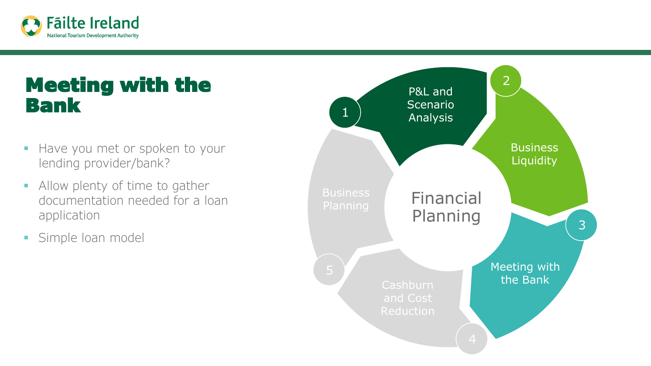

### Meeting with the Bank

- **.** Have you met or spoken to your lending provider/bank?
- **EXECUTE:** Allow plenty of time to gather documentation needed for a loan application
- **·** Simple loan model

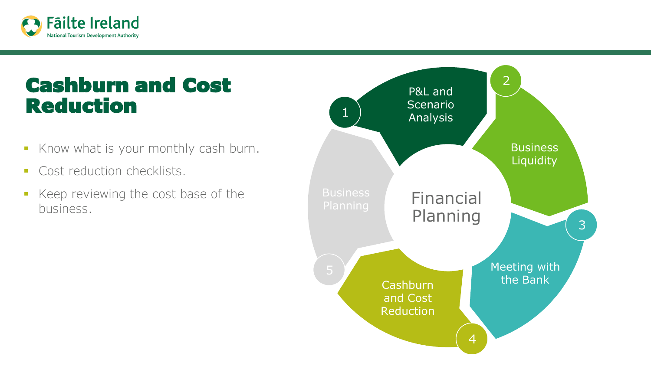

### Cashburn and Cost Reduction

- **Know what is your monthly cash burn.**
- **Cost reduction checklists.**
- Keep reviewing the cost base of the **Business Financial**<br>business. **Financial**